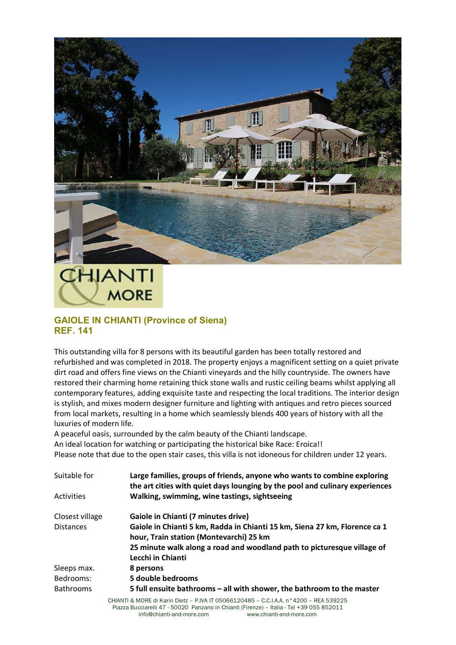

## **MORE**

## **GAIOLE IN CHIANTI (Province of Siena) REF. 141**

This outstanding villa for 8 persons with its beautiful garden has been totally restored and refurbished and was completed in 2018. The property enjoys a magnificent setting on a quiet private dirt road and offers fine views on the Chianti vineyards and the hilly countryside. The owners have restored their charming home retaining thick stone walls and rustic ceiling beams whilst applying all contemporary features, adding exquisite taste and respecting the local traditions. The interior design is stylish, and mixes modern designer furniture and lighting with antiques and retro pieces sourced from local markets, resulting in a home which seamlessly blends 400 years of history with all the luxuries of modern life.

A peaceful oasis, surrounded by the calm beauty of the Chianti landscape. An ideal location for watching or participating the historical bike Race: Eroica!! Please note that due to the open stair cases, this villa is not idoneous for children under 12 years.

| Suitable for     | Large families, groups of friends, anyone who wants to combine exploring<br>the art cities with quiet days lounging by the pool and culinary experiences |
|------------------|----------------------------------------------------------------------------------------------------------------------------------------------------------|
| Activities       | Walking, swimming, wine tastings, sightseeing                                                                                                            |
| Closest village  | Gaiole in Chianti (7 minutes drive)                                                                                                                      |
| <b>Distances</b> | Gaiole in Chianti 5 km, Radda in Chianti 15 km, Siena 27 km, Florence ca 1<br>hour, Train station (Montevarchi) 25 km                                    |
|                  | 25 minute walk along a road and woodland path to picturesque village of<br>Lecchi in Chianti                                                             |
| Sleeps max.      | 8 persons                                                                                                                                                |
| Bedrooms:        | 5 double bedrooms                                                                                                                                        |
| <b>Bathrooms</b> | 5 full ensuite bathrooms – all with shower, the bathroom to the master                                                                                   |
|                  | CHIANTI & MORE di Karin Dietz - PIVA IT 05066120485 - CCIAA nº 4200 - REA 539225                                                                         |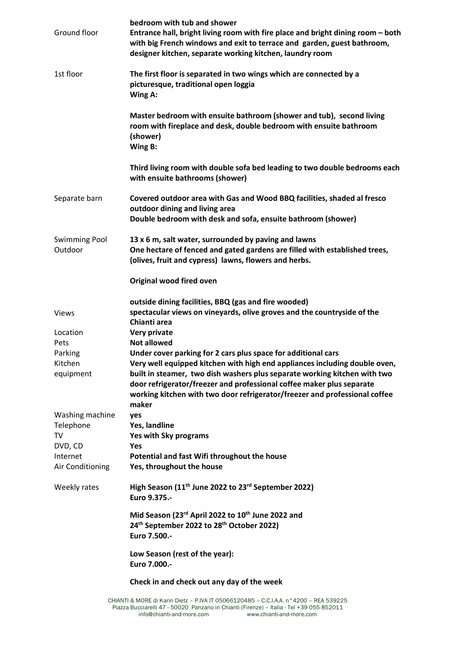| Ground floor                    | bedroom with tub and shower<br>Entrance hall, bright living room with fire place and bright dining room - both<br>with big French windows and exit to terrace and garden, guest bathroom,<br>designer kitchen, separate working kitchen, laundry room |
|---------------------------------|-------------------------------------------------------------------------------------------------------------------------------------------------------------------------------------------------------------------------------------------------------|
| 1st floor                       | The first floor is separated in two wings which are connected by a<br>picturesque, traditional open loggia<br>Wing A:                                                                                                                                 |
|                                 | Master bedroom with ensuite bathroom (shower and tub), second living<br>room with fireplace and desk, double bedroom with ensuite bathroom<br>(shower)<br>Wing B:                                                                                     |
|                                 | Third living room with double sofa bed leading to two double bedrooms each<br>with ensuite bathrooms (shower)                                                                                                                                         |
| Separate barn                   | Covered outdoor area with Gas and Wood BBQ facilities, shaded al fresco<br>outdoor dining and living area<br>Double bedroom with desk and sofa, ensuite bathroom (shower)                                                                             |
| <b>Swimming Pool</b><br>Outdoor | 13 x 6 m, salt water, surrounded by paving and lawns<br>One hectare of fenced and gated gardens are filled with established trees,<br>(olives, fruit and cypress) lawns, flowers and herbs.                                                           |
|                                 | Original wood fired oven                                                                                                                                                                                                                              |
| <b>Views</b>                    | outside dining facilities, BBQ (gas and fire wooded)<br>spectacular views on vineyards, olive groves and the countryside of the<br>Chianti area                                                                                                       |
| Location<br>Pets                | Very private<br><b>Not allowed</b>                                                                                                                                                                                                                    |
| Parking                         | Under cover parking for 2 cars plus space for additional cars                                                                                                                                                                                         |
| Kitchen                         | Very well equipped kitchen with high end appliances including double oven,                                                                                                                                                                            |
| equipment                       | built in steamer, two dish washers plus separate working kitchen with two<br>door refrigerator/freezer and professional coffee maker plus separate<br>working kitchen with two door refrigerator/freezer and professional coffee<br>maker             |
| Washing machine                 | yes                                                                                                                                                                                                                                                   |
| Telephone                       | Yes, landline                                                                                                                                                                                                                                         |
| TV                              | <b>Yes with Sky programs</b>                                                                                                                                                                                                                          |
| DVD, CD                         | Yes                                                                                                                                                                                                                                                   |
| Internet<br>Air Conditioning    | Potential and fast Wifi throughout the house<br>Yes, throughout the house                                                                                                                                                                             |
| Weekly rates                    | High Season $(11th$ June 2022 to 23 <sup>rd</sup> September 2022)<br>Euro 9.375 .-                                                                                                                                                                    |
|                                 | Mid Season (23rd April 2022 to 10 <sup>th</sup> June 2022 and<br>24 <sup>th</sup> September 2022 to 28 <sup>th</sup> October 2022)<br>Euro 7.500 .-                                                                                                   |
|                                 | Low Season (rest of the year):<br>Euro 7.000 .-                                                                                                                                                                                                       |
|                                 | Check in and check out any day of the week                                                                                                                                                                                                            |